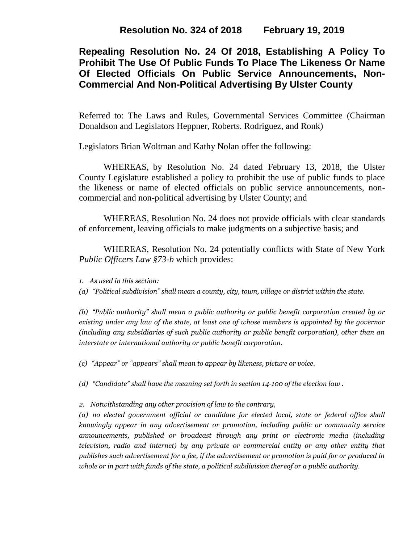**Resolution No. 324 of 2018 February 19, 2019**

# **Repealing Resolution No. 24 Of 2018, Establishing A Policy To Prohibit The Use Of Public Funds To Place The Likeness Or Name Of Elected Officials On Public Service Announcements, Non-Commercial And Non-Political Advertising By Ulster County**

Referred to: The Laws and Rules, Governmental Services Committee (Chairman Donaldson and Legislators Heppner, Roberts. Rodriguez, and Ronk)

Legislators Brian Woltman and Kathy Nolan offer the following:

WHEREAS, by Resolution No. 24 dated February 13, 2018, the Ulster County Legislature established a policy to prohibit the use of public funds to place the likeness or name of elected officials on public service announcements, noncommercial and non-political advertising by Ulster County; and

WHEREAS, Resolution No. 24 does not provide officials with clear standards of enforcement, leaving officials to make judgments on a subjective basis; and

WHEREAS, Resolution No. 24 potentially conflicts with State of New York *Public Officers Law §73-b* which provides:

*1. As used in this section:*

*(a) "Political subdivision" shall mean a county, city, town, village or district within the state.*

*(b) "Public authority" shall mean a public authority or public benefit corporation created by or existing under any law of the state, at least one of whose members is appointed by the governor (including any subsidiaries of such public authority or public benefit corporation), other than an interstate or international authority or public benefit corporation.*

*(c) "Appear" or "appears" shall mean to appear by likeness, picture or voice.*

*(d) "Candidate" shall have the meaning set forth in section 14-100 of the [election](https://1.next.westlaw.com/Link/Document/FullText?findType=L&originatingContext=document&transitionType=DocumentItem&pubNum=1000071&refType=LQ&originatingDoc=Ie36a1c20336e11e6b7a8d0af6f3578b5&cite=NYELS14-100) law .*

*2. Notwithstanding any other provision of law to the contrary,* 

*(a) no elected government official or candidate for elected local, state or federal office shall knowingly appear in any advertisement or promotion, including public or community service announcements, published or broadcast through any print or electronic media (including television, radio and internet) by any private or commercial entity or any other entity that publishes such advertisement for a fee, if the advertisement or promotion is paid for or produced in whole or in part with funds of the state, a political subdivision thereof or a public authority.*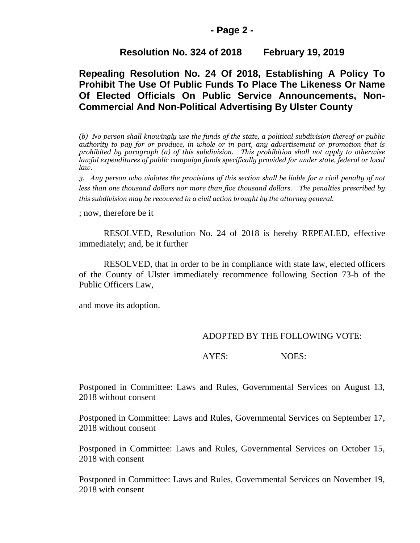#### **- Page 2 -**

## **Resolution No. 324 of 2018 February 19, 2019**

# **Repealing Resolution No. 24 Of 2018, Establishing A Policy To Prohibit The Use Of Public Funds To Place The Likeness Or Name Of Elected Officials On Public Service Announcements, Non-Commercial And Non-Political Advertising By Ulster County**

*(b) No person shall knowingly use the funds of the state, a political subdivision thereof or public authority to pay for or produce, in whole or in part, any advertisement or promotion that is prohibited by paragraph (a) of this subdivision. This prohibition shall not apply to otherwise lawful expenditures of public campaign funds specifically provided for under state, federal or local law.*

*3. Any person who violates the provisions of this section shall be liable for a civil penalty of not less than one thousand dollars nor more than five thousand dollars. The penalties prescribed by this subdivision may be recovered in a civil action brought by the attorney general.*

; now, therefore be it

RESOLVED, Resolution No. 24 of 2018 is hereby REPEALED, effective immediately; and, be it further

RESOLVED, that in order to be in compliance with state law, elected officers of the County of Ulster immediately recommence following Section 73-b of the Public Officers Law,

and move its adoption.

#### ADOPTED BY THE FOLLOWING VOTE:

AYES: NOES:

Postponed in Committee: Laws and Rules, Governmental Services on August 13, 2018 without consent

Postponed in Committee: Laws and Rules, Governmental Services on September 17, 2018 without consent

Postponed in Committee: Laws and Rules, Governmental Services on October 15, 2018 with consent

Postponed in Committee: Laws and Rules, Governmental Services on November 19, 2018 with consent